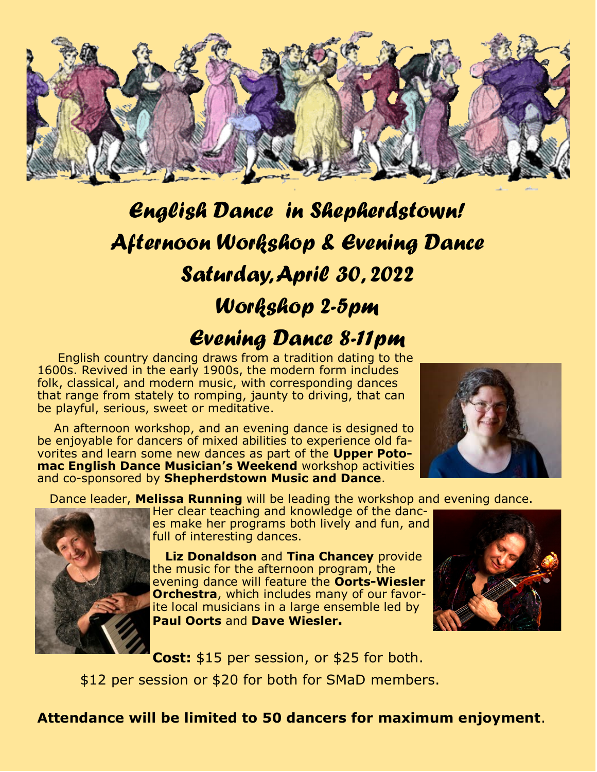

## *English Dance in Shepherdstown! Afternoon Workshop & Evening Dance Saturday, April 30, 2022 Workshop 2-5pm Evening Dance 8-11pm*

 English country dancing draws from a tradition dating to the 1600s. Revived in the early 1900s, the modern form includes folk, classical, and modern music, with corresponding dances that range from stately to romping, jaunty to driving, that can be playful, serious, sweet or meditative.

 An afternoon workshop, and an evening dance is designed to be enjoyable for dancers of mixed abilities to experience old favorites and learn some new dances as part of the **Upper Potomac English Dance Musician's Weekend** workshop activities and co-sponsored by **Shepherdstown Music and Dance**.



Dance leader, **Melissa Running** will be leading the workshop and evening dance.



Her clear teaching and knowledge of the dances make her programs both lively and fun, and full of interesting dances.

 **Liz Donaldson** and **Tina Chancey** provide the music for the afternoon program, the evening dance will feature the **Oorts-Wiesler Orchestra**, which includes many of our favorite local musicians in a large ensemble led by **Paul Oorts** and **Dave Wiesler.** 



**Cost:** \$15 per session, or \$25 for both.

\$12 per session or \$20 for both for SMaD members.

**Attendance will be limited to 50 dancers for maximum enjoyment**.